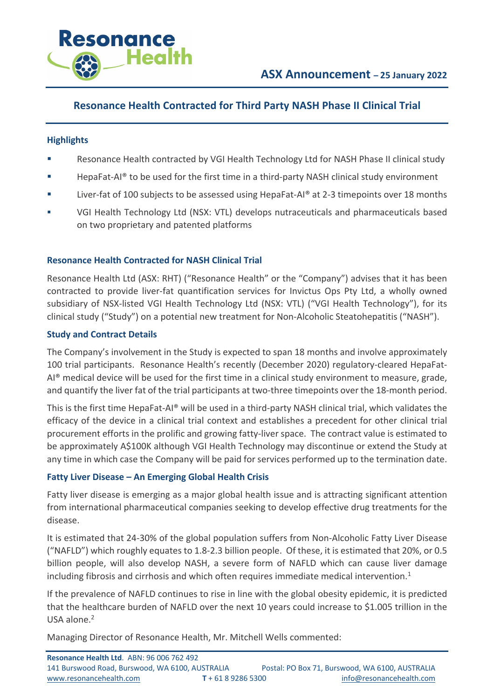

# **Resonance Health Contracted for Third Party NASH Phase II Clinical Trial**

## **Highlights**

- Resonance Health contracted by VGI Health Technology Ltd for NASH Phase II clinical study
- HepaFat-AI<sup>®</sup> to be used for the first time in a third-party NASH clinical study environment
- Liver-fat of 100 subjects to be assessed using HepaFat-AI® at 2-3 timepoints over 18 months
- § VGI Health Technology Ltd (NSX: VTL) develops nutraceuticals and pharmaceuticals based on two proprietary and patented platforms

## **Resonance Health Contracted for NASH Clinical Trial**

Resonance Health Ltd (ASX: RHT) ("Resonance Health" or the "Company") advises that it has been contracted to provide liver-fat quantification services for Invictus Ops Pty Ltd, a wholly owned subsidiary of NSX-listed VGI Health Technology Ltd (NSX: VTL) ("VGI Health Technology"), for its clinical study ("Study") on a potential new treatment for Non-Alcoholic Steatohepatitis ("NASH").

## **Study and Contract Details**

The Company's involvement in the Study is expected to span 18 months and involve approximately 100 trial participants. Resonance Health's recently (December 2020) regulatory-cleared HepaFat-AI® medical device will be used for the first time in a clinical study environment to measure, grade, and quantify the liver fat of the trial participants at two-three timepoints over the 18-month period.

This is the first time HepaFat-AI® will be used in a third-party NASH clinical trial, which validates the efficacy of the device in a clinical trial context and establishes a precedent for other clinical trial procurement efforts in the prolific and growing fatty-liver space. The contract value is estimated to be approximately A\$100K although VGI Health Technology may discontinue or extend the Study at any time in which case the Company will be paid for services performed up to the termination date.

#### **Fatty Liver Disease – An Emerging Global Health Crisis**

Fatty liver disease is emerging as a major global health issue and is attracting significant attention from international pharmaceutical companies seeking to develop effective drug treatments for the disease.

It is estimated that 24-30% of the global population suffers from Non-Alcoholic Fatty Liver Disease ("NAFLD") which roughly equates to 1.8-2.3 billion people. Of these, it is estimated that 20%, or 0.5 billion people, will also develop NASH, a severe form of NAFLD which can cause liver damage including fibrosis and cirrhosis and which often requires immediate medical intervention.<sup>1</sup>

If the prevalence of NAFLD continues to rise in line with the global obesity epidemic, it is predicted that the healthcare burden of NAFLD over the next 10 years could increase to \$1.005 trillion in the USA alone.<sup>2</sup>

Managing Director of Resonance Health, Mr. Mitchell Wells commented: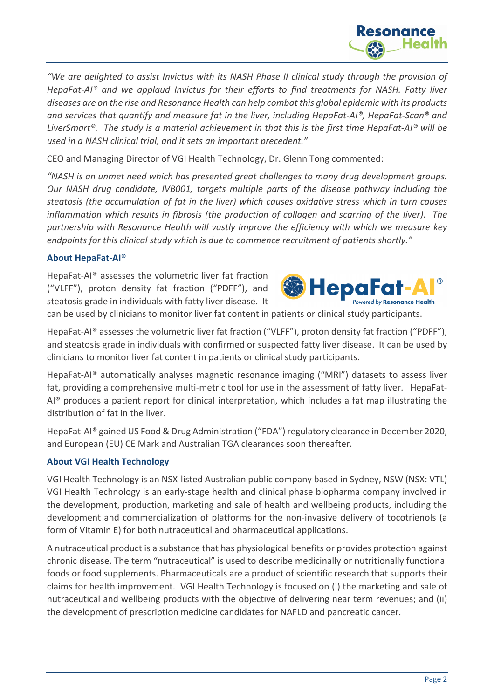

*"We are delighted to assist Invictus with its NASH Phase II clinical study through the provision of HepaFat-AI® and we applaud Invictus for their efforts to find treatments for NASH. Fatty liver diseases are on the rise and Resonance Health can help combat this global epidemic with its products and services that quantify and measure fat in the liver, including HepaFat-AI®, HepaFat-Scan® and LiverSmart®. The study is a material achievement in that this is the first time HepaFat-AI® will be used in a NASH clinical trial, and it sets an important precedent."* 

CEO and Managing Director of VGI Health Technology, Dr. Glenn Tong commented:

*"NASH is an unmet need which has presented great challenges to many drug development groups. Our NASH drug candidate, IVB001, targets multiple parts of the disease pathway including the steatosis (the accumulation of fat in the liver) which causes oxidative stress which in turn causes inflammation which results in fibrosis (the production of collagen and scarring of the liver). The partnership with Resonance Health will vastly improve the efficiency with which we measure key endpoints for this clinical study which is due to commence recruitment of patients shortly."*

# **About HepaFat-AI®**

HepaFat-AI® assesses the volumetric liver fat fraction ("VLFF"), proton density fat fraction ("PDFF"), and steatosis grade in individuals with fatty liver disease. It

can be used by clinicians to monitor liver fat content in patients or clinical study participants.

HepaFat-AI® assesses the volumetric liver fat fraction ("VLFF"), proton density fat fraction ("PDFF"), and steatosis grade in individuals with confirmed or suspected fatty liver disease. It can be used by clinicians to monitor liver fat content in patients or clinical study participants.

HepaFat-AI® automatically analyses magnetic resonance imaging ("MRI") datasets to assess liver fat, providing a comprehensive multi-metric tool for use in the assessment of fatty liver. HepaFat-AI® produces a patient report for clinical interpretation, which includes a fat map illustrating the distribution of fat in the liver.

HepaFat-AI® gained US Food & Drug Administration ("FDA") regulatory clearance in December 2020, and European (EU) CE Mark and Australian TGA clearances soon thereafter.

# **About VGI Health Technology**

VGI Health Technology is an NSX-listed Australian public company based in Sydney, NSW (NSX: VTL) VGI Health Technology is an early-stage health and clinical phase biopharma company involved in the development, production, marketing and sale of health and wellbeing products, including the development and commercialization of platforms for the non-invasive delivery of tocotrienols (a form of Vitamin E) for both nutraceutical and pharmaceutical applications.

A nutraceutical product is a substance that has physiological benefits or provides protection against chronic disease. The term "nutraceutical" is used to describe medicinally or nutritionally functional foods or food supplements. Pharmaceuticals are a product of scientific research that supports their claims for health improvement. VGI Health Technology is focused on (i) the marketing and sale of nutraceutical and wellbeing products with the objective of delivering near term revenues; and (ii) the development of prescription medicine candidates for NAFLD and pancreatic cancer.





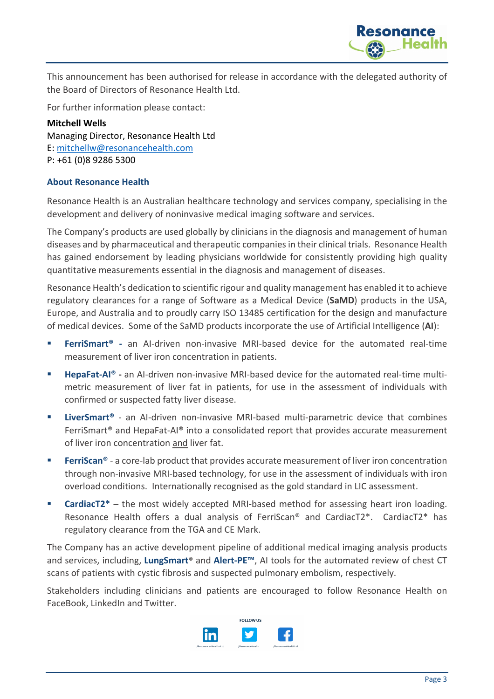

This announcement has been authorised for release in accordance with the delegated authority of the Board of Directors of Resonance Health Ltd.

For further information please contact:

**Mitchell Wells** Managing Director, Resonance Health Ltd E: mitchellw@resonancehealth.com P: +61 (0)8 9286 5300

## **About Resonance Health**

Resonance Health is an Australian healthcare technology and services company, specialising in the development and delivery of noninvasive medical imaging software and services.

The Company's products are used globally by clinicians in the diagnosis and management of human diseases and by pharmaceutical and therapeutic companies in their clinical trials. Resonance Health has gained endorsement by leading physicians worldwide for consistently providing high quality quantitative measurements essential in the diagnosis and management of diseases.

Resonance Health's dedication to scientific rigour and quality management has enabled it to achieve regulatory clearances for a range of Software as a Medical Device (**SaMD**) products in the USA, Europe, and Australia and to proudly carry ISO 13485 certification for the design and manufacture of medical devices. Some of the SaMD products incorporate the use of Artificial Intelligence (**AI**):

- **FerriSmart<sup>®</sup>** an AI-driven non-invasive MRI-based device for the automated real-time measurement of liver iron concentration in patients.
- § **HepaFat-AI® -** an AI-driven non-invasive MRI-based device for the automated real-time multimetric measurement of liver fat in patients, for use in the assessment of individuals with confirmed or suspected fatty liver disease.
- **EiverSmart<sup>®</sup>** an AI-driven non-invasive MRI-based multi-parametric device that combines FerriSmart® and HepaFat-AI® into a consolidated report that provides accurate measurement of liver iron concentration and liver fat.
- **FerriScan®** a core-lab product that provides accurate measurement of liver iron concentration through non-invasive MRI-based technology, for use in the assessment of individuals with iron overload conditions. Internationally recognised as the gold standard in LIC assessment.
- **CardiacT2<sup>\*</sup>** the most widely accepted MRI-based method for assessing heart iron loading. Resonance Health offers a dual analysis of FerriScan® and CardiacT2\*. CardiacT2\* has regulatory clearance from the TGA and CE Mark.

The Company has an active development pipeline of additional medical imaging analysis products and services, including, **LungSmart**® and **Alert-PE™**, AI tools for the automated review of chest CT scans of patients with cystic fibrosis and suspected pulmonary embolism, respectively.

Stakeholders including clinicians and patients are encouraged to follow Resonance Health on FaceBook, LinkedIn and Twitter.